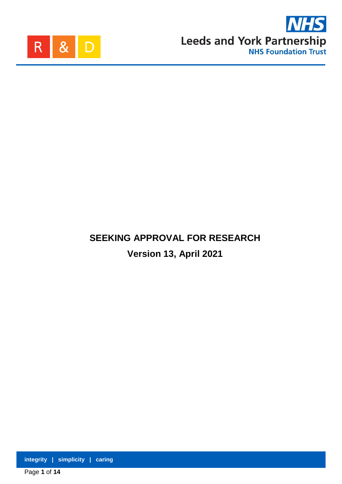



# **SEEKING APPROVAL FOR RESEARCH Version 13, April 2021**

**integrity | simplicity | caring**

Page **1** of **14**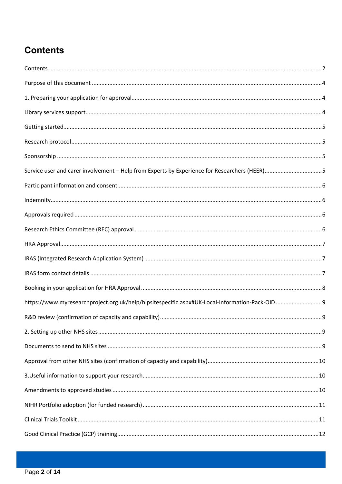## <span id="page-1-0"></span>**Contents**

| Service user and carer involvement - Help from Experts by Experience for Researchers (HEER)5 |  |
|----------------------------------------------------------------------------------------------|--|
|                                                                                              |  |
|                                                                                              |  |
|                                                                                              |  |
|                                                                                              |  |
|                                                                                              |  |
|                                                                                              |  |
|                                                                                              |  |
|                                                                                              |  |
|                                                                                              |  |
|                                                                                              |  |
|                                                                                              |  |
|                                                                                              |  |
|                                                                                              |  |
|                                                                                              |  |
|                                                                                              |  |
|                                                                                              |  |
|                                                                                              |  |
|                                                                                              |  |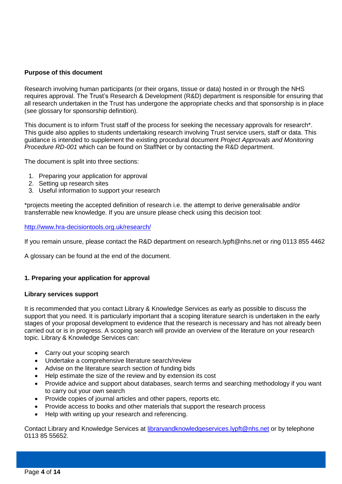## <span id="page-3-0"></span>**Purpose of this document**

Research involving human participants (or their organs, tissue or data) hosted in or through the NHS requires approval. The Trust's Research & Development (R&D) department is responsible for ensuring that all research undertaken in the Trust has undergone the appropriate checks and that sponsorship is in place (see glossary for sponsorship definition).

This document is to inform Trust staff of the process for seeking the necessary approvals for research\*. This guide also applies to students undertaking research involving Trust service users, staff or data. This guidance is intended to supplement the existing procedural document *Project Approvals and Monitoring Procedure RD-001* which can be found on StaffNet or by contacting the R&D department.

The document is split into three sections:

- 1. Preparing your application for approval
- 2. Setting up research sites
- 3. Useful information to support your research

\*projects meeting the accepted definition of research i.e. the attempt to derive generalisable and/or transferrable new knowledge. If you are unsure please check using this decision tool:

## <http://www.hra-decisiontools.org.uk/research/>

If you remain unsure, please contact the R&D department on [research.lypft@nhs.net](mailto:research.lypft@nhs.net) or ring 0113 855 4462

A glossary can be found at the end of the document.

## <span id="page-3-1"></span>**1. Preparing your application for approval**

#### <span id="page-3-2"></span>**Library services support**

It is recommended that you contact Library & Knowledge Services as early as possible to discuss the support that you need. It is particularly important that a scoping literature search is undertaken in the early stages of your proposal development to evidence that the research is necessary and has not already been carried out or is in progress. A scoping search will provide an overview of the literature on your research topic. Library & Knowledge Services can:

- Carry out your scoping search
- Undertake a comprehensive literature search/review
- Advise on the literature search section of funding bids
- Help estimate the size of the review and by extension its cost
- Provide advice and support about databases, search terms and searching methodology if you want to carry out your own search
- Provide copies of journal articles and other papers, reports etc.
- Provide access to books and other materials that support the research process
- Help with writing up your research and referencing.

Contact Library and Knowledge Services at [libraryandknowledgeservices.lypft@nhs.net](mailto:libraryandknowledgeservices.lypft@nhs.net) or by telephone 0113 85 55652.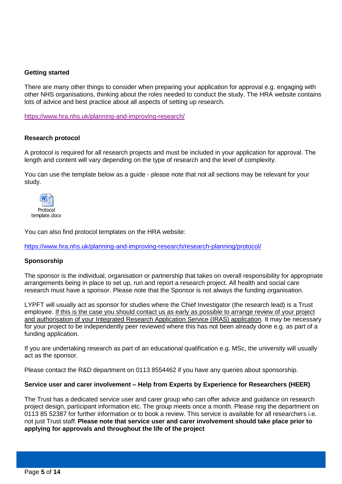## <span id="page-4-0"></span>**Getting started**

There are many other things to consider when preparing your application for approval e.g. engaging with other NHS organisations, thinking about the roles needed to conduct the study. The HRA website contains lots of advice and best practice about all aspects of setting up research.

<https://www.hra.nhs.uk/planning-and-improving-research/>

## <span id="page-4-1"></span>**Research protocol**

A protocol is required for all research projects and must be included in your application for approval. The length and content will vary depending on the type of research and the level of complexity.

You can use the template below as a guide - please note that not all sections may be relevant for your study.



You can also find protocol templates on the HRA website:

<https://www.hra.nhs.uk/planning-and-improving-research/research-planning/protocol/>

#### <span id="page-4-2"></span>**Sponsorship**

The sponsor is the individual, organisation or partnership that takes on overall responsibility for appropriate arrangements being in place to set up, run and report a research project. All health and social care research must have a sponsor. Please note that the Sponsor is not always the funding organisation.

LYPFT will usually act as sponsor for studies where the Chief Investigator (the research lead) is a Trust employee. If this is the case you should contact us as early as possible to arrange review of your project and authorisation of your Integrated Research Application Service (IRAS) application. It may be necessary for your project to be independently peer reviewed where this has not been already done e.g. as part of a funding application.

If you are undertaking research as part of an educational qualification e.g. MSc, the university will usually act as the sponsor.

Please contact the R&D department on 0113 8554462 if you have any queries about sponsorship.

#### <span id="page-4-3"></span>**Service user and carer involvement – Help from Experts by Experience for Researchers (HEER)**

The Trust has a dedicated service user and carer group who can offer advice and guidance on research project design, participant information etc. The group meets once a month. Please ring the department on 0113 85 52387 for further information or to book a review. This service is available for all researchers i.e. not just Trust staff. **Please note that service user and carer involvement should take place prior to applying for approvals and throughout the life of the project**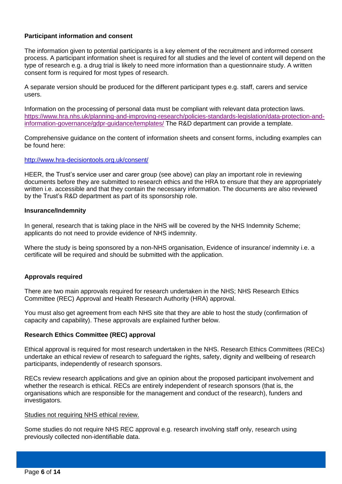## <span id="page-5-0"></span>**Participant information and consent**

The information given to potential participants is a key element of the recruitment and informed consent process. A participant information sheet is required for all studies and the level of content will depend on the type of research e.g. a drug trial is likely to need more information than a questionnaire study. A written consent form is required for most types of research.

A separate version should be produced for the different participant types e.g. staff, carers and service users.

Information on the processing of personal data must be compliant with relevant data protection laws. [https://www.hra.nhs.uk/planning-and-improving-research/policies-standards-legislation/data-protection-and](https://www.hra.nhs.uk/planning-and-improving-research/policies-standards-legislation/data-protection-and-information-governance/gdpr-guidance/templates/)[information-governance/gdpr-guidance/templates/](https://www.hra.nhs.uk/planning-and-improving-research/policies-standards-legislation/data-protection-and-information-governance/gdpr-guidance/templates/) The R&D department can provide a template.

Comprehensive guidance on the content of information sheets and consent forms, including examples can be found here:

#### <http://www.hra-decisiontools.org.uk/consent/>

HEER, the Trust's service user and carer group (see above) can play an important role in reviewing documents before they are submitted to research ethics and the HRA to ensure that they are appropriately written i.e. accessible and that they contain the necessary information. The documents are also reviewed by the Trust's R&D department as part of its sponsorship role.

#### <span id="page-5-1"></span>**Insurance/Indemnity**

In general, research that is taking place in the NHS will be covered by the NHS Indemnity Scheme; applicants do not need to provide evidence of NHS indemnity.

Where the study is being sponsored by a non-NHS organisation, Evidence of insurance/ indemnity i.e. a certificate will be required and should be submitted with the application.

## <span id="page-5-2"></span>**Approvals required**

There are two main approvals required for research undertaken in the NHS; NHS Research Ethics Committee (REC) Approval and Health Research Authority (HRA) approval.

You must also get agreement from each NHS site that they are able to host the study (confirmation of capacity and capability). These approvals are explained further below.

#### <span id="page-5-3"></span>**Research Ethics Committee (REC) approval**

Ethical approval is required for most research undertaken in the NHS. Research Ethics Committees (RECs) undertake an ethical review of research to safeguard the rights, safety, dignity and wellbeing of research participants, independently of research sponsors.

RECs review research applications and give an opinion about the proposed participant involvement and whether the research is ethical. RECs are entirely independent of research sponsors (that is, the organisations which are responsible for the management and conduct of the research), funders and investigators.

#### Studies not requiring NHS ethical review.

Some studies do not require NHS REC approval e.g. research involving staff only, research using previously collected non-identifiable data.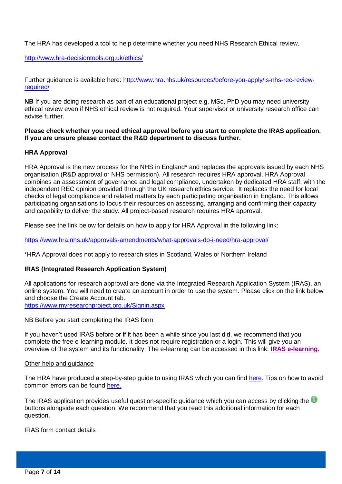The HRA has developed a tool to help determine whether you need NHS Research Ethical review.

<http://www.hra-decisiontools.org.uk/ethics/>

Further guidance is available here: [http://www.hra.nhs.uk/resources/before-you-apply/is-nhs-rec-review](http://www.hra.nhs.uk/resources/before-you-apply/is-nhs-rec-review-required/)[required/](http://www.hra.nhs.uk/resources/before-you-apply/is-nhs-rec-review-required/)

**NB** If you are doing research as part of an educational project e.g. MSc, PhD you may need university ethical review even if NHS ethical review is not required. Your supervisor or university research office can advise further.

**Please check whether you need ethical approval before you start to complete the IRAS application. If you are unsure please contact the R&D department to discuss further.** 

## <span id="page-6-0"></span>**HRA Approval**

HRA Approval is the new process for the NHS in England\* and replaces the approvals issued by each NHS organisation (R&D approval or NHS permission). All research requires HRA approval. HRA Approval combines an assessment of governance and legal compliance, undertaken by dedicated HRA staff, with the independent REC opinion provided through the UK research ethics service. It replaces the need for local checks of legal compliance and related matters by each participating organisation in England. This allows participating organisations to focus their resources on assessing, arranging and confirming their capacity and capability to deliver the study. All project-based research requires HRA approval.

Please see the link below for details on how to apply for HRA Approval in the following link:

<https://www.hra.nhs.uk/approvals-amendments/what-approvals-do-i-need/hra-approval/>

\*HRA Approval does not apply to research sites in Scotland, Wales or Northern Ireland

## <span id="page-6-1"></span>**IRAS (Integrated Research Application System)**

All applications for research approval are done via the Integrated Research Application System (IRAS), an online system. You will need to create an account in order to use the system. Please click on the link below and choose the Create Account tab. <https://www.myresearchproject.org.uk/Signin.aspx>

## NB Before you start completing the IRAS form

If you haven't used IRAS before or if it has been a while since you last did, we recommend that you complete the free e-learning module. It does not require registration or a login. This will give you an overview of the system and its functionality. The e-learning can be accessed in this link: **[IRAS e-learning.](https://www.myresearchproject.org.uk/ELearning/IRAS_E_learning.htm)**

#### Other help and guidance

The HRA have produced a step-by-step guide to using IRAS which you can find [here.](https://www.hra.nhs.uk/about-us/news-updates/hratips-our-guide-hra-approval-applicants/) Tips on how to avoid common errors can be found [here.](https://www.myresearchproject.org.uk/help/hlphraapproval.aspx#Tips-for-HRA-Approval)

The IRAS application provides useful question-specific quidance which you can access by clicking the U buttons alongside each question. We recommend that you read this additional information for each question.

#### <span id="page-6-2"></span>IRAS form contact details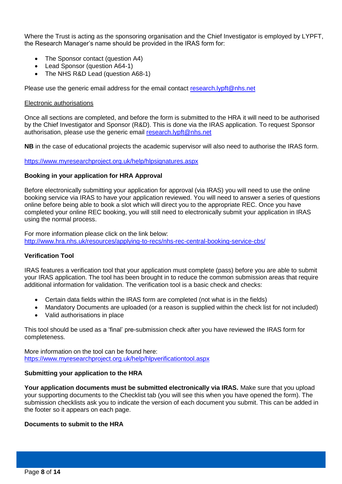Where the Trust is acting as the sponsoring organisation and the Chief Investigator is employed by LYPFT, the Research Manager's name should be provided in the IRAS form for:

- The Sponsor contact (question A4)
- Lead Sponsor (question A64-1)
- The NHS R&D Lead (question A68-1)

Please use the generic email address for the email contact [research.lypft@nhs.net](mailto:research.lypft@nhs.net)

#### Electronic authorisations

Once all sections are completed, and before the form is submitted to the HRA it will need to be authorised by the Chief Investigator and Sponsor (R&D). This is done via the IRAS application. To request Sponsor authorisation, please use the generic email [research.lypft@nhs.net](mailto:research.lypft@nhs.net)

**NB** in the case of educational projects the academic supervisor will also need to authorise the IRAS form.

<https://www.myresearchproject.org.uk/help/hlpsignatures.aspx>

#### <span id="page-7-0"></span>**Booking in your application for HRA Approval**

Before electronically submitting your application for approval (via IRAS) you will need to use the online booking service via IRAS to have your application reviewed. You will need to answer a series of questions online before being able to book a slot which will direct you to the appropriate REC. Once you have completed your online REC booking, you will still need to electronically submit your application in IRAS using the normal process.

For more information please click on the link below: <http://www.hra.nhs.uk/resources/applying-to-recs/nhs-rec-central-booking-service-cbs/>

#### **Verification Tool**

IRAS features a verification tool that your application must complete (pass) before you are able to submit your IRAS application. The tool has been brought in to reduce the common submission areas that require additional information for validation. The verification tool is a basic check and checks:

- Certain data fields within the IRAS form are completed (not what is in the fields)
- Mandatory Documents are uploaded (or a reason is supplied within the check list for not included)
- Valid authorisations in place

This tool should be used as a 'final' pre-submission check after you have reviewed the IRAS form for completeness.

More information on the tool can be found here: <https://www.myresearchproject.org.uk/help/hlpverificationtool.aspx>

#### **Submitting your application to the HRA**

**Your application documents must be submitted electronically via IRAS.** Make sure that you upload your supporting documents to the Checklist tab (you will see this when you have opened the form). The submission checklists ask you to indicate the version of each document you submit. This can be added in the footer so it appears on each page.

#### **Documents to submit to the HRA**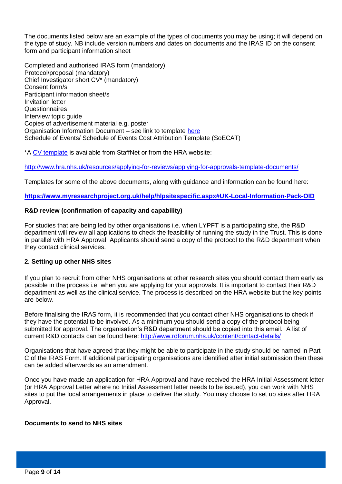The documents listed below are an example of the types of documents you may be using; it will depend on the type of study. NB include version numbers and dates on documents and the IRAS ID on the consent form and participant information sheet

Completed and authorised IRAS form (mandatory) Protocol/proposal (mandatory) Chief Investigator short CV\* (mandatory) Consent form/s Participant information sheet/s Invitation letter **Questionnaires** Interview topic guide Copies of advertisement material e.g. poster Organisation Information Document – see link to template [here](https://www.myresearchproject.org.uk/help/hlpsitespecific.aspx#UK-Local-Information-Pack-OID) Schedule of Events/ Schedule of Events Cost Attribution Template (SoECAT)

\*A [CV template](http://staffnet/clinicalservices/Professional%20Groups/Research%20%20Development/Documents/Forms/RD%20Default.aspx?View=%7B77E6CD4B-9A71-41F5-B9AF-89BCABB5972A%7D) is available from StaffNet or from the HRA website:

<http://www.hra.nhs.uk/resources/applying-for-reviews/applying-for-approvals-template-documents/>

Templates for some of the above documents, along with guidance and information can be found here:

## <span id="page-8-0"></span>**<https://www.myresearchproject.org.uk/help/hlpsitespecific.aspx#UK-Local-Information-Pack-OID>**

## <span id="page-8-1"></span>**R&D review (confirmation of capacity and capability)**

For studies that are being led by other organisations i.e. when LYPFT is a participating site, the R&D department will review all applications to check the feasibility of running the study in the Trust. This is done in parallel with HRA Approval. Applicants should send a copy of the protocol to the R&D department when they contact clinical services.

## <span id="page-8-2"></span>**2. Setting up other NHS sites**

If you plan to recruit from other NHS organisations at other research sites you should contact them early as possible in the process i.e. when you are applying for your approvals. It is important to contact their R&D department as well as the clinical service. The process is described on the HRA website but the key points are below.

Before finalising the IRAS form, it is recommended that you contact other NHS organisations to check if they have the potential to be involved. As a minimum you should send a copy of the protocol being submitted for approval. The organisation's R&D department should be copied into this email. A list of current R&D contacts can be found here:<http://www.rdforum.nhs.uk/content/contact-details/>

Organisations that have agreed that they might be able to participate in the study should be named in Part C of the IRAS Form. If additional participating organisations are identified after initial submission then these can be added afterwards as an amendment.

Once you have made an application for HRA Approval and have received the HRA Initial Assessment letter (or HRA Approval Letter where no Initial Assessment letter needs to be issued), you can work with NHS sites to put the local arrangements in place to deliver the study. You may choose to set up sites after HRA Approval.

#### <span id="page-8-3"></span>**Documents to send to NHS sites**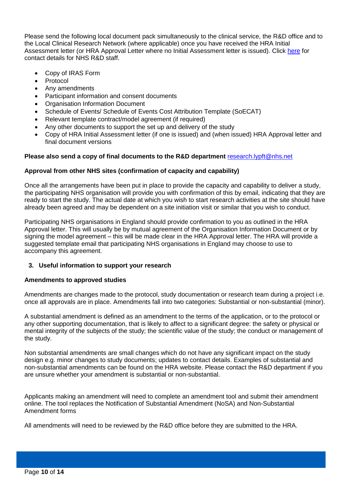Please send the following local document pack simultaneously to the clinical service, the R&D office and to the Local Clinical Research Network (where applicable) once you have received the HRA Initial Assessment letter (or HRA Approval Letter where no Initial Assessment letter is issued). Click [here](http://www.rdforum.nhs.uk/content/contact-details/) for contact details for NHS R&D staff.

- Copy of IRAS Form
- Protocol
- Any amendments
- Participant information and consent documents
- Organisation Information Document
- Schedule of Events/ Schedule of Events Cost Attribution Template (SoECAT)
- Relevant template contract/model agreement (if required)
- Any other documents to support the set up and delivery of the study
- Copy of HRA Initial Assessment letter (if one is issued) and (when issued) HRA Approval letter and final document versions

## **Please also send a copy of final documents to the R&D department** [research.lypft@nhs.net](mailto:research.lypft@nhs.net)

## <span id="page-9-0"></span>**Approval from other NHS sites (confirmation of capacity and capability)**

Once all the arrangements have been put in place to provide the capacity and capability to deliver a study, the participating NHS organisation will provide you with confirmation of this by email, indicating that they are ready to start the study. The actual date at which you wish to start research activities at the site should have already been agreed and may be dependent on a site initiation visit or similar that you wish to conduct.

Participating NHS organisations in England should provide confirmation to you as outlined in the HRA Approval letter. This will usually be by mutual agreement of the Organisation Information Document or by signing the model agreement – this will be made clear in the HRA Approval letter. The HRA will provide a suggested template email that participating NHS organisations in England may choose to use to accompany this agreement.

## <span id="page-9-1"></span>**3. Useful information to support your research**

## <span id="page-9-2"></span>**Amendments to approved studies**

Amendments are changes made to the protocol, study documentation or research team during a project i.e. once all approvals are in place. Amendments fall into two categories: Substantial or non-substantial (minor).

A substantial amendment is defined as an amendment to the terms of the application, or to the protocol or any other supporting documentation, that is likely to affect to a significant degree: the safety or physical or mental integrity of the subjects of the study; the scientific value of the study; the conduct or management of the study.

Non substantial amendments are small changes which do not have any significant impact on the study design e.g. minor changes to study documents; updates to contact details. Examples of substantial and non-substantial amendments can be found on the HRA website. Please contact the R&D department if you are unsure whether your amendment is substantial or non-substantial.

Applicants making an amendment will need to complete an amendment tool and submit their amendment online. The tool replaces the Notification of Substantial Amendment (NoSA) and Non-Substantial Amendment forms

All amendments will need to be reviewed by the R&D office before they are submitted to the HRA.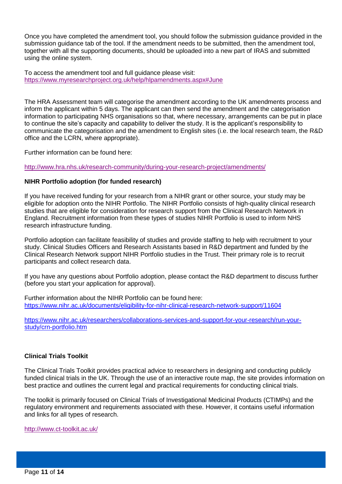Once you have completed the amendment tool, you should follow the submission guidance provided in the submission guidance tab of the tool. If the amendment needs to be submitted, then the amendment tool, together with all the supporting documents, should be uploaded into a new part of IRAS and submitted using the online system.

To access the amendment tool and full guidance please visit: <https://www.myresearchproject.org.uk/help/hlpamendments.aspx#June>

The HRA Assessment team will categorise the amendment according to the UK amendments process and inform the applicant within 5 days. The applicant can then send the amendment and the categorisation information to participating NHS organisations so that, where necessary, arrangements can be put in place to continue the site's capacity and capability to deliver the study. It is the applicant's responsibility to communicate the categorisation and the amendment to English sites (i.e. the local research team, the R&D office and the LCRN, where appropriate).

Further information can be found here:

<http://www.hra.nhs.uk/research-community/during-your-research-project/amendments/>

## <span id="page-10-0"></span>**NIHR Portfolio adoption (for funded research)**

If you have received funding for your research from a NIHR grant or other source, your study may be eligible for adoption onto the NIHR Portfolio. The NIHR Portfolio consists of high-quality clinical research studies that are eligible for consideration for research support from the Clinical Research Network in England. Recruitment information from these types of studies NIHR Portfolio is used to inform NHS research infrastructure funding.

Portfolio adoption can facilitate feasibility of studies and provide staffing to help with recruitment to your study. Clinical Studies Officers and Research Assistants based in R&D department and funded by the Clinical Research Network support NIHR Portfolio studies in the Trust. Their primary role is to recruit participants and collect research data.

If you have any questions about Portfolio adoption, please contact the R&D department to discuss further (before you start your application for approval).

Further information about the NIHR Portfolio can be found here: <https://www.nihr.ac.uk/documents/eligibility-for-nihr-clinical-research-network-support/11604>

[https://www.nihr.ac.uk/researchers/collaborations-services-and-support-for-your-research/run-your](https://www.nihr.ac.uk/researchers/collaborations-services-and-support-for-your-research/run-your-study/crn-portfolio.htm)[study/crn-portfolio.htm](https://www.nihr.ac.uk/researchers/collaborations-services-and-support-for-your-research/run-your-study/crn-portfolio.htm)

## <span id="page-10-1"></span>**Clinical Trials Toolkit**

The Clinical Trials Toolkit provides practical advice to researchers in designing and conducting publicly funded clinical trials in the UK. Through the use of an interactive route map, the site provides information on best practice and outlines the current legal and practical requirements for conducting clinical trials.

The toolkit is primarily focused on Clinical Trials of Investigational Medicinal Products (CTIMPs) and the regulatory environment and requirements associated with these. However, it contains useful information and links for all types of research.

<http://www.ct-toolkit.ac.uk/>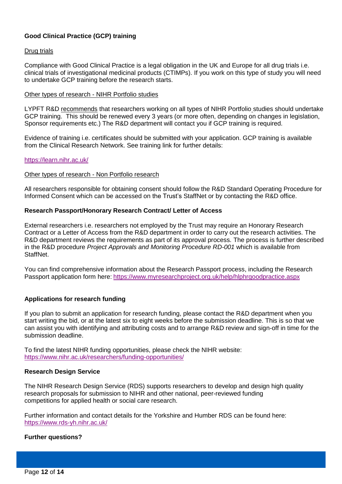## <span id="page-11-0"></span>**Good Clinical Practice (GCP) training**

## Drug trials

Compliance with Good Clinical Practice is a legal obligation in the UK and Europe for all drug trials i.e. clinical trials of investigational medicinal products (CTIMPs). If you work on this type of study you will need to undertake GCP training before the research starts.

#### Other types of research - NIHR Portfolio studies

LYPFT R&D recommends that researchers working on all types of NIHR Portfolio studies should undertake GCP training. This should be renewed every 3 years (or more often, depending on changes in legislation, Sponsor requirements etc.) The R&D department will contact you if GCP training is required.

Evidence of training i.e. certificates should be submitted with your application. GCP training is available from the Clinical Research Network. See training link for further details:

## <https://learn.nihr.ac.uk/>

## Other types of research - Non Portfolio research

All researchers responsible for obtaining consent should follow the R&D Standard Operating Procedure for Informed Consent which can be accessed on the Trust's StaffNet or by contacting the R&D office.

## <span id="page-11-1"></span>**Research Passport/Honorary Research Contract/ Letter of Access**

External researchers i.e. researchers not employed by the Trust may require an Honorary Research Contract or a Letter of Access from the R&D department in order to carry out the research activities. The R&D department reviews the requirements as part of its approval process. The process is further described in the R&D procedure *Project Approvals and Monitoring Procedure RD-001* which is available from StaffNet.

You can find comprehensive information about the Research Passport process, including the Research Passport application form here: <https://www.myresearchproject.org.uk/help/hlphrgoodpractice.aspx>

## <span id="page-11-2"></span>**Applications for research funding**

If you plan to submit an application for research funding, please contact the R&D department when you start writing the bid, or at the latest six to eight weeks before the submission deadline. This is so that we can assist you with identifying and attributing costs and to arrange R&D review and sign-off in time for the submission deadline.

To find the latest NIHR funding opportunities, please check the NIHR website: <https://www.nihr.ac.uk/researchers/funding-opportunities/>

## <span id="page-11-3"></span>**Research Design Service**

The NIHR Research Design Service (RDS) supports researchers to develop and design high quality research proposals for submission to NIHR and other national, peer-reviewed funding competitions for applied health or social care research.

Further information and contact details for the Yorkshire and Humber RDS can be found here: <https://www.rds-yh.nihr.ac.uk/>

## <span id="page-11-4"></span>**Further questions?**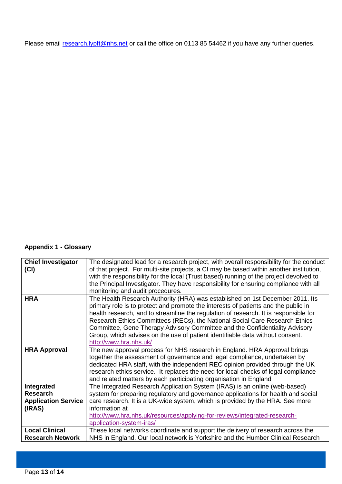Please email [research.lypft@nhs.net](mailto:research.lypft@nhs.net) or call the office on 0113 85 54462 if you have any further queries.

## **Appendix 1 - Glossary**

| <b>Chief Investigator</b>  | The designated lead for a research project, with overall responsibility for the conduct |
|----------------------------|-----------------------------------------------------------------------------------------|
| (Cl)                       | of that project. For multi-site projects, a CI may be based within another institution, |
|                            | with the responsibility for the local (Trust based) running of the project devolved to  |
|                            | the Principal Investigator. They have responsibility for ensuring compliance with all   |
|                            | monitoring and audit procedures.                                                        |
| <b>HRA</b>                 | The Health Research Authority (HRA) was established on 1st December 2011. Its           |
|                            | primary role is to protect and promote the interests of patients and the public in      |
|                            | health research, and to streamline the regulation of research. It is responsible for    |
|                            | Research Ethics Committees (RECs), the National Social Care Research Ethics             |
|                            | Committee, Gene Therapy Advisory Committee and the Confidentiality Advisory             |
|                            | Group, which advises on the use of patient identifiable data without consent.           |
|                            | http://www.hra.nhs.uk/                                                                  |
| <b>HRA Approval</b>        | The new approval process for NHS research in England. HRA Approval brings               |
|                            | together the assessment of governance and legal compliance, undertaken by               |
|                            | dedicated HRA staff, with the independent REC opinion provided through the UK           |
|                            | research ethics service. It replaces the need for local checks of legal compliance      |
|                            | and related matters by each participating organisation in England                       |
| Integrated                 | The Integrated Research Application System (IRAS) is an online (web-based)              |
| <b>Research</b>            | system for preparing regulatory and governance applications for health and social       |
| <b>Application Service</b> | care research. It is a UK-wide system, which is provided by the HRA. See more           |
| (IRAS)                     | information at                                                                          |
|                            |                                                                                         |
|                            | http://www.hra.nhs.uk/resources/applying-for-reviews/integrated-research-               |
|                            | application-system-iras/                                                                |
| <b>Local Clinical</b>      | These local networks coordinate and support the delivery of research across the         |
| <b>Research Network</b>    | NHS in England. Our local network is Yorkshire and the Humber Clinical Research         |